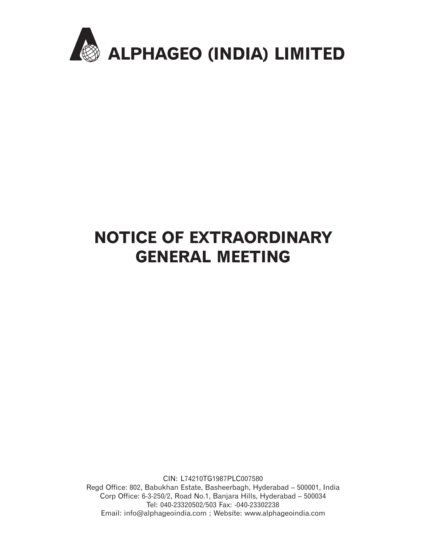

# NOTICE OF EXTRAORDINARY GENERAL MEETING

CIN: L74210TG1987PLC007580 Regd Office: 802, Babukhan Estate, Basheerbagh, Hyderabad – 500001, India Corp Office: 6-3-250/2, Road No.1, Banjara Hills, Hyderabad – 500034 Tel: 040-23320502/503 Fax: -040-23302238 Email: info@alphageoindia.com ; Website: www.alphageoindia.com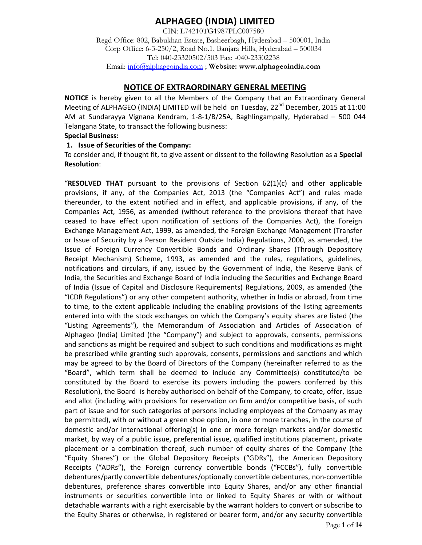# **ALPHAGEO (INDIA) LIMITED**

CIN: L74210TG1987PLC007580 Regd Office: 802, Babukhan Estate, Basheerbagh, Hyderabad – 500001, India Corp Office: 6-3-250/2, Road No.1, Banjara Hills, Hyderabad – 500034 Tel: 040-23320502/503 Fax: -040-23302238 Email: info@alphageoindia.com ; **Website: www.alphageoindia.com** 

## **NOTICE OF EXTRAORDINARY GENERAL MEETING**

**NOTICE** is hereby given to all the Members of the Company that an Extraordinary General Meeting of ALPHAGEO (INDIA) LIMITED will be held on Tuesday,  $22^{nd}$  December, 2015 at 11:00 AM at Sundarayya Vignana Kendram, 1-8-1/B/25A, Baghlingampally, Hyderabad – 500 044 Telangana State, to transact the following business:

#### **Special Business:**

#### **1. Issue of Securities of the Company:**

To consider and, if thought fit, to give assent or dissent to the following Resolution as a **Special Resolution**:

"**RESOLVED THAT** pursuant to the provisions of Section 62(1)(c) and other applicable provisions, if any, of the Companies Act, 2013 (the "Companies Act") and rules made thereunder, to the extent notified and in effect, and applicable provisions, if any, of the Companies Act, 1956, as amended (without reference to the provisions thereof that have ceased to have effect upon notification of sections of the Companies Act), the Foreign Exchange Management Act, 1999, as amended, the Foreign Exchange Management (Transfer or Issue of Security by a Person Resident Outside India) Regulations, 2000, as amended, the Issue of Foreign Currency Convertible Bonds and Ordinary Shares (Through Depository Receipt Mechanism) Scheme, 1993, as amended and the rules, regulations, guidelines, notifications and circulars, if any, issued by the Government of India, the Reserve Bank of India, the Securities and Exchange Board of India including the Securities and Exchange Board of India (Issue of Capital and Disclosure Requirements) Regulations, 2009, as amended (the "ICDR Regulations") or any other competent authority, whether in India or abroad, from time to time, to the extent applicable including the enabling provisions of the listing agreements entered into with the stock exchanges on which the Company's equity shares are listed (the "Listing Agreements"), the Memorandum of Association and Articles of Association of Alphageo (India) Limited (the "Company") and subject to approvals, consents, permissions and sanctions as might be required and subject to such conditions and modifications as might be prescribed while granting such approvals, consents, permissions and sanctions and which may be agreed to by the Board of Directors of the Company (hereinafter referred to as the "Board", which term shall be deemed to include any Committee(s) constituted/to be constituted by the Board to exercise its powers including the powers conferred by this Resolution), the Board is hereby authorised on behalf of the Company, to create, offer, issue and allot (including with provisions for reservation on firm and/or competitive basis, of such part of issue and for such categories of persons including employees of the Company as may be permitted), with or without a green shoe option, in one or more tranches, in the course of domestic and/or international offering(s) in one or more foreign markets and/or domestic market, by way of a public issue, preferential issue, qualified institutions placement, private placement or a combination thereof, such number of equity shares of the Company (the "Equity Shares") or the Global Depository Receipts ("GDRs"), the American Depository Receipts ("ADRs"), the Foreign currency convertible bonds ("FCCBs"), fully convertible debentures/partly convertible debentures/optionally convertible debentures, non-convertible debentures, preference shares convertible into Equity Shares, and/or any other financial instruments or securities convertible into or linked to Equity Shares or with or without detachable warrants with a right exercisable by the warrant holders to convert or subscribe to the Equity Shares or otherwise, in registered or bearer form, and/or any security convertible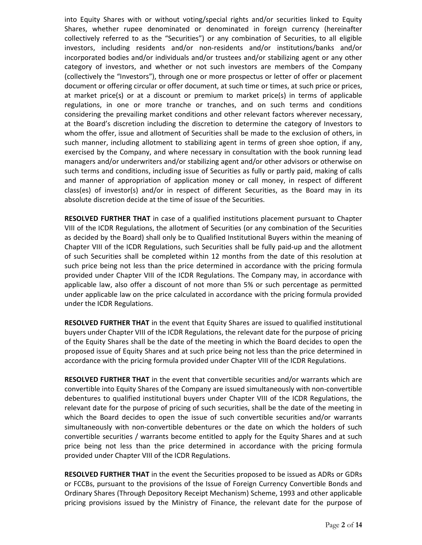into Equity Shares with or without voting/special rights and/or securities linked to Equity Shares, whether rupee denominated or denominated in foreign currency (hereinafter collectively referred to as the "Securities") or any combination of Securities, to all eligible investors, including residents and/or non-residents and/or institutions/banks and/or incorporated bodies and/or individuals and/or trustees and/or stabilizing agent or any other category of investors, and whether or not such investors are members of the Company (collectively the "Investors"), through one or more prospectus or letter of offer or placement document or offering circular or offer document, at such time or times, at such price or prices, at market price(s) or at a discount or premium to market price(s) in terms of applicable regulations, in one or more tranche or tranches, and on such terms and conditions considering the prevailing market conditions and other relevant factors wherever necessary, at the Board's discretion including the discretion to determine the category of Investors to whom the offer, issue and allotment of Securities shall be made to the exclusion of others, in such manner, including allotment to stabilizing agent in terms of green shoe option, if any, exercised by the Company, and where necessary in consultation with the book running lead managers and/or underwriters and/or stabilizing agent and/or other advisors or otherwise on such terms and conditions, including issue of Securities as fully or partly paid, making of calls and manner of appropriation of application money or call money, in respect of different class(es) of investor(s) and/or in respect of different Securities, as the Board may in its absolute discretion decide at the time of issue of the Securities.

**RESOLVED FURTHER THAT** in case of a qualified institutions placement pursuant to Chapter VIII of the ICDR Regulations, the allotment of Securities (or any combination of the Securities as decided by the Board) shall only be to Qualified Institutional Buyers within the meaning of Chapter VIII of the ICDR Regulations, such Securities shall be fully paid-up and the allotment of such Securities shall be completed within 12 months from the date of this resolution at such price being not less than the price determined in accordance with the pricing formula provided under Chapter VIII of the ICDR Regulations. The Company may, in accordance with applicable law, also offer a discount of not more than 5% or such percentage as permitted under applicable law on the price calculated in accordance with the pricing formula provided under the ICDR Regulations.

**RESOLVED FURTHER THAT** in the event that Equity Shares are issued to qualified institutional buyers under Chapter VIII of the ICDR Regulations, the relevant date for the purpose of pricing of the Equity Shares shall be the date of the meeting in which the Board decides to open the proposed issue of Equity Shares and at such price being not less than the price determined in accordance with the pricing formula provided under Chapter VIII of the ICDR Regulations.

**RESOLVED FURTHER THAT** in the event that convertible securities and/or warrants which are convertible into Equity Shares of the Company are issued simultaneously with non-convertible debentures to qualified institutional buyers under Chapter VIII of the ICDR Regulations, the relevant date for the purpose of pricing of such securities, shall be the date of the meeting in which the Board decides to open the issue of such convertible securities and/or warrants simultaneously with non-convertible debentures or the date on which the holders of such convertible securities / warrants become entitled to apply for the Equity Shares and at such price being not less than the price determined in accordance with the pricing formula provided under Chapter VIII of the ICDR Regulations.

**RESOLVED FURTHER THAT** in the event the Securities proposed to be issued as ADRs or GDRs or FCCBs, pursuant to the provisions of the Issue of Foreign Currency Convertible Bonds and Ordinary Shares (Through Depository Receipt Mechanism) Scheme, 1993 and other applicable pricing provisions issued by the Ministry of Finance, the relevant date for the purpose of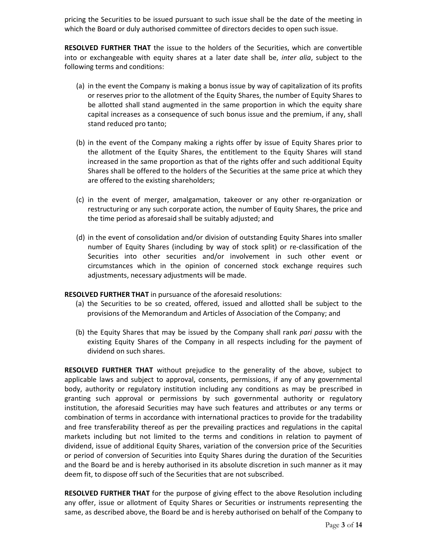pricing the Securities to be issued pursuant to such issue shall be the date of the meeting in which the Board or duly authorised committee of directors decides to open such issue.

**RESOLVED FURTHER THAT** the issue to the holders of the Securities, which are convertible into or exchangeable with equity shares at a later date shall be, *inter alia*, subject to the following terms and conditions:

- (a) in the event the Company is making a bonus issue by way of capitalization of its profits or reserves prior to the allotment of the Equity Shares, the number of Equity Shares to be allotted shall stand augmented in the same proportion in which the equity share capital increases as a consequence of such bonus issue and the premium, if any, shall stand reduced pro tanto;
- (b) in the event of the Company making a rights offer by issue of Equity Shares prior to the allotment of the Equity Shares, the entitlement to the Equity Shares will stand increased in the same proportion as that of the rights offer and such additional Equity Shares shall be offered to the holders of the Securities at the same price at which they are offered to the existing shareholders;
- (c) in the event of merger, amalgamation, takeover or any other re-organization or restructuring or any such corporate action, the number of Equity Shares, the price and the time period as aforesaid shall be suitably adjusted; and
- (d) in the event of consolidation and/or division of outstanding Equity Shares into smaller number of Equity Shares (including by way of stock split) or re-classification of the Securities into other securities and/or involvement in such other event or circumstances which in the opinion of concerned stock exchange requires such adjustments, necessary adjustments will be made.

#### **RESOLVED FURTHER THAT** in pursuance of the aforesaid resolutions:

- (a) the Securities to be so created, offered, issued and allotted shall be subject to the provisions of the Memorandum and Articles of Association of the Company; and
- (b) the Equity Shares that may be issued by the Company shall rank *pari passu* with the existing Equity Shares of the Company in all respects including for the payment of dividend on such shares.

**RESOLVED FURTHER THAT** without prejudice to the generality of the above, subject to applicable laws and subject to approval, consents, permissions, if any of any governmental body, authority or regulatory institution including any conditions as may be prescribed in granting such approval or permissions by such governmental authority or regulatory institution, the aforesaid Securities may have such features and attributes or any terms or combination of terms in accordance with international practices to provide for the tradability and free transferability thereof as per the prevailing practices and regulations in the capital markets including but not limited to the terms and conditions in relation to payment of dividend, issue of additional Equity Shares, variation of the conversion price of the Securities or period of conversion of Securities into Equity Shares during the duration of the Securities and the Board be and is hereby authorised in its absolute discretion in such manner as it may deem fit, to dispose off such of the Securities that are not subscribed.

**RESOLVED FURTHER THAT** for the purpose of giving effect to the above Resolution including any offer, issue or allotment of Equity Shares or Securities or instruments representing the same, as described above, the Board be and is hereby authorised on behalf of the Company to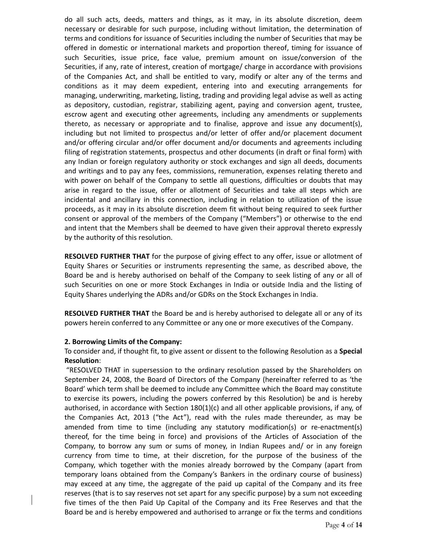do all such acts, deeds, matters and things, as it may, in its absolute discretion, deem necessary or desirable for such purpose, including without limitation, the determination of terms and conditions for issuance of Securities including the number of Securities that may be offered in domestic or international markets and proportion thereof, timing for issuance of such Securities, issue price, face value, premium amount on issue/conversion of the Securities, if any, rate of interest, creation of mortgage/ charge in accordance with provisions of the Companies Act, and shall be entitled to vary, modify or alter any of the terms and conditions as it may deem expedient, entering into and executing arrangements for managing, underwriting, marketing, listing, trading and providing legal advise as well as acting as depository, custodian, registrar, stabilizing agent, paying and conversion agent, trustee, escrow agent and executing other agreements, including any amendments or supplements thereto, as necessary or appropriate and to finalise, approve and issue any document(s), including but not limited to prospectus and/or letter of offer and/or placement document and/or offering circular and/or offer document and/or documents and agreements including filing of registration statements, prospectus and other documents (in draft or final form) with any Indian or foreign regulatory authority or stock exchanges and sign all deeds, documents and writings and to pay any fees, commissions, remuneration, expenses relating thereto and with power on behalf of the Company to settle all questions, difficulties or doubts that may arise in regard to the issue, offer or allotment of Securities and take all steps which are incidental and ancillary in this connection, including in relation to utilization of the issue proceeds, as it may in its absolute discretion deem fit without being required to seek further consent or approval of the members of the Company ("Members") or otherwise to the end and intent that the Members shall be deemed to have given their approval thereto expressly by the authority of this resolution.

**RESOLVED FURTHER THAT** for the purpose of giving effect to any offer, issue or allotment of Equity Shares or Securities or instruments representing the same, as described above, the Board be and is hereby authorised on behalf of the Company to seek listing of any or all of such Securities on one or more Stock Exchanges in India or outside India and the listing of Equity Shares underlying the ADRs and/or GDRs on the Stock Exchanges in India.

**RESOLVED FURTHER THAT** the Board be and is hereby authorised to delegate all or any of its powers herein conferred to any Committee or any one or more executives of the Company.

#### **2. Borrowing Limits of the Company:**

#### To consider and, if thought fit, to give assent or dissent to the following Resolution as a **Special Resolution**:

"RESOLVED THAT in supersession to the ordinary resolution passed by the Shareholders on September 24, 2008, the Board of Directors of the Company (hereinafter referred to as 'the Board' which term shall be deemed to include any Committee which the Board may constitute to exercise its powers, including the powers conferred by this Resolution) be and is hereby authorised, in accordance with Section 180(1)(c) and all other applicable provisions, if any, of the Companies Act, 2013 ("the Act"), read with the rules made thereunder, as may be amended from time to time (including any statutory modification(s) or re-enactment(s) thereof, for the time being in force) and provisions of the Articles of Association of the Company, to borrow any sum or sums of money, in Indian Rupees and/ or in any foreign currency from time to time, at their discretion, for the purpose of the business of the Company, which together with the monies already borrowed by the Company (apart from temporary loans obtained from the Company's Bankers in the ordinary course of business) may exceed at any time, the aggregate of the paid up capital of the Company and its free reserves (that is to say reserves not set apart for any specific purpose) by a sum not exceeding five times of the then Paid Up Capital of the Company and its Free Reserves and that the Board be and is hereby empowered and authorised to arrange or fix the terms and conditions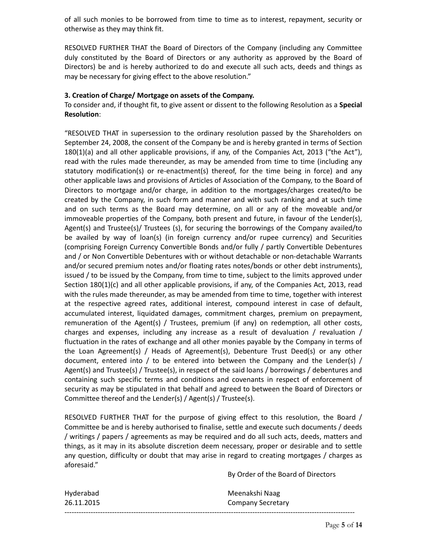of all such monies to be borrowed from time to time as to interest, repayment, security or otherwise as they may think fit.

RESOLVED FURTHER THAT the Board of Directors of the Company (including any Committee duly constituted by the Board of Directors or any authority as approved by the Board of Directors) be and is hereby authorized to do and execute all such acts, deeds and things as may be necessary for giving effect to the above resolution."

#### **3. Creation of Charge/ Mortgage on assets of the Company.**

To consider and, if thought fit, to give assent or dissent to the following Resolution as a **Special Resolution**:

"RESOLVED THAT in supersession to the ordinary resolution passed by the Shareholders on September 24, 2008, the consent of the Company be and is hereby granted in terms of Section 180(1)(a) and all other applicable provisions, if any, of the Companies Act, 2013 ("the Act"), read with the rules made thereunder, as may be amended from time to time (including any statutory modification(s) or re-enactment(s) thereof, for the time being in force) and any other applicable laws and provisions of Articles of Association of the Company, to the Board of Directors to mortgage and/or charge, in addition to the mortgages/charges created/to be created by the Company, in such form and manner and with such ranking and at such time and on such terms as the Board may determine, on all or any of the moveable and/or immoveable properties of the Company, both present and future, in favour of the Lender(s), Agent(s) and Trustee(s)/ Trustees (s), for securing the borrowings of the Company availed/to be availed by way of loan(s) (in foreign currency and/or rupee currency) and Securities (comprising Foreign Currency Convertible Bonds and/or fully / partly Convertible Debentures and / or Non Convertible Debentures with or without detachable or non-detachable Warrants and/or secured premium notes and/or floating rates notes/bonds or other debt instruments), issued / to be issued by the Company, from time to time, subject to the limits approved under Section 180(1)(c) and all other applicable provisions, if any, of the Companies Act, 2013, read with the rules made thereunder, as may be amended from time to time, together with interest at the respective agreed rates, additional interest, compound interest in case of default, accumulated interest, liquidated damages, commitment charges, premium on prepayment, remuneration of the Agent(s) / Trustees, premium (if any) on redemption, all other costs, charges and expenses, including any increase as a result of devaluation / revaluation / fluctuation in the rates of exchange and all other monies payable by the Company in terms of the Loan Agreement(s) / Heads of Agreement(s), Debenture Trust Deed(s) or any other document, entered into / to be entered into between the Company and the Lender(s) / Agent(s) and Trustee(s) / Trustee(s), in respect of the said loans / borrowings / debentures and containing such specific terms and conditions and covenants in respect of enforcement of security as may be stipulated in that behalf and agreed to between the Board of Directors or Committee thereof and the Lender(s) / Agent(s) / Trustee(s).

RESOLVED FURTHER THAT for the purpose of giving effect to this resolution, the Board / Committee be and is hereby authorised to finalise, settle and execute such documents / deeds / writings / papers / agreements as may be required and do all such acts, deeds, matters and things, as it may in its absolute discretion deem necessary, proper or desirable and to settle any question, difficulty or doubt that may arise in regard to creating mortgages / charges as aforesaid."

By Order of the Board of Directors

| Hyderabad  | Meenakshi Naag    |
|------------|-------------------|
| 26.11.2015 | Company Secretary |
|            |                   |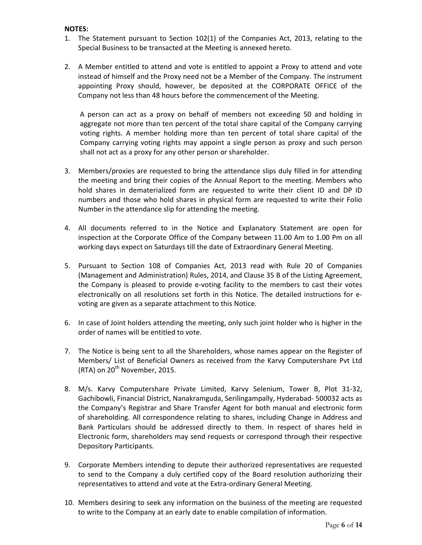#### **NOTES:**

- 1. The Statement pursuant to Section 102(1) of the Companies Act, 2013, relating to the Special Business to be transacted at the Meeting is annexed hereto.
- 2. A Member entitled to attend and vote is entitled to appoint a Proxy to attend and vote instead of himself and the Proxy need not be a Member of the Company. The instrument appointing Proxy should, however, be deposited at the CORPORATE OFFICE of the Company not less than 48 hours before the commencement of the Meeting.

A person can act as a proxy on behalf of members not exceeding 50 and holding in aggregate not more than ten percent of the total share capital of the Company carrying voting rights. A member holding more than ten percent of total share capital of the Company carrying voting rights may appoint a single person as proxy and such person shall not act as a proxy for any other person or shareholder.

- 3. Members/proxies are requested to bring the attendance slips duly filled in for attending the meeting and bring their copies of the Annual Report to the meeting. Members who hold shares in dematerialized form are requested to write their client ID and DP ID numbers and those who hold shares in physical form are requested to write their Folio Number in the attendance slip for attending the meeting.
- 4. All documents referred to in the Notice and Explanatory Statement are open for inspection at the Corporate Office of the Company between 11.00 Am to 1.00 Pm on all working days expect on Saturdays till the date of Extraordinary General Meeting.
- 5. Pursuant to Section 108 of Companies Act, 2013 read with Rule 20 of Companies (Management and Administration) Rules, 2014, and Clause 35 B of the Listing Agreement, the Company is pleased to provide e-voting facility to the members to cast their votes electronically on all resolutions set forth in this Notice. The detailed instructions for evoting are given as a separate attachment to this Notice.
- 6. In case of Joint holders attending the meeting, only such joint holder who is higher in the order of names will be entitled to vote.
- 7. The Notice is being sent to all the Shareholders, whose names appear on the Register of Members/ List of Beneficial Owners as received from the Karvy Computershare Pvt Ltd (RTA) on  $20^{th}$  November, 2015.
- 8. M/s. Karvy Computershare Private Limited, Karvy Selenium, Tower B, Plot 31-32, Gachibowli, Financial District, Nanakramguda, Serilingampally, Hyderabad- 500032 acts as the Company's Registrar and Share Transfer Agent for both manual and electronic form of shareholding. All correspondence relating to shares, including Change in Address and Bank Particulars should be addressed directly to them. In respect of shares held in Electronic form, shareholders may send requests or correspond through their respective Depository Participants.
- 9. Corporate Members intending to depute their authorized representatives are requested to send to the Company a duly certified copy of the Board resolution authorizing their representatives to attend and vote at the Extra-ordinary General Meeting.
- 10. Members desiring to seek any information on the business of the meeting are requested to write to the Company at an early date to enable compilation of information.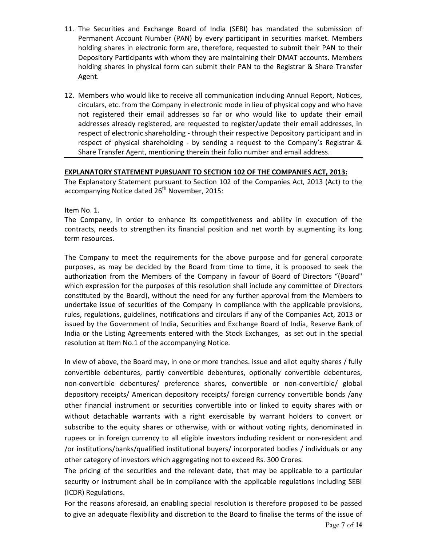- 11. The Securities and Exchange Board of India (SEBI) has mandated the submission of Permanent Account Number (PAN) by every participant in securities market. Members holding shares in electronic form are, therefore, requested to submit their PAN to their Depository Participants with whom they are maintaining their DMAT accounts. Members holding shares in physical form can submit their PAN to the Registrar & Share Transfer Agent.
- 12. Members who would like to receive all communication including Annual Report, Notices, circulars, etc. from the Company in electronic mode in lieu of physical copy and who have not registered their email addresses so far or who would like to update their email addresses already registered, are requested to register/update their email addresses, in respect of electronic shareholding - through their respective Depository participant and in respect of physical shareholding - by sending a request to the Company's Registrar & Share Transfer Agent, mentioning therein their folio number and email address.

#### **EXPLANATORY STATEMENT PURSUANT TO SECTION 102 OF THE COMPANIES ACT, 2013:**

The Explanatory Statement pursuant to Section 102 of the Companies Act, 2013 (Act) to the accompanying Notice dated  $26<sup>th</sup>$  November, 2015:

Item No. 1.

The Company, in order to enhance its competitiveness and ability in execution of the contracts, needs to strengthen its financial position and net worth by augmenting its long term resources.

The Company to meet the requirements for the above purpose and for general corporate purposes, as may be decided by the Board from time to time, it is proposed to seek the authorization from the Members of the Company in favour of Board of Directors "(Board" which expression for the purposes of this resolution shall include any committee of Directors constituted by the Board), without the need for any further approval from the Members to undertake issue of securities of the Company in compliance with the applicable provisions, rules, regulations, guidelines, notifications and circulars if any of the Companies Act, 2013 or issued by the Government of India, Securities and Exchange Board of India, Reserve Bank of India or the Listing Agreements entered with the Stock Exchanges, as set out in the special resolution at Item No.1 of the accompanying Notice.

In view of above, the Board may, in one or more tranches. issue and allot equity shares / fully convertible debentures, partly convertible debentures, optionally convertible debentures, non-convertible debentures/ preference shares, convertible or non-convertible/ global depository receipts/ American depository receipts/ foreign currency convertible bonds /any other financial instrument or securities convertible into or linked to equity shares with or without detachable warrants with a right exercisable by warrant holders to convert or subscribe to the equity shares or otherwise, with or without voting rights, denominated in rupees or in foreign currency to all eligible investors including resident or non-resident and /or institutions/banks/qualified institutional buyers/ incorporated bodies / individuals or any other category of investors which aggregating not to exceed Rs. 300 Crores.

The pricing of the securities and the relevant date, that may be applicable to a particular security or instrument shall be in compliance with the applicable regulations including SEBI (ICDR) Regulations.

For the reasons aforesaid, an enabling special resolution is therefore proposed to be passed to give an adequate flexibility and discretion to the Board to finalise the terms of the issue of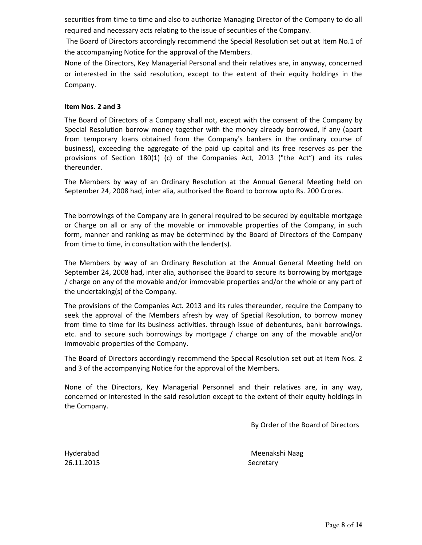securities from time to time and also to authorize Managing Director of the Company to do all required and necessary acts relating to the issue of securities of the Company.

 The Board of Directors accordingly recommend the Special Resolution set out at Item No.1 of the accompanying Notice for the approval of the Members.

None of the Directors, Key Managerial Personal and their relatives are, in anyway, concerned or interested in the said resolution, except to the extent of their equity holdings in the Company.

#### **Item Nos. 2 and 3**

The Board of Directors of a Company shall not, except with the consent of the Company by Special Resolution borrow money together with the money already borrowed, if any (apart from temporary loans obtained from the Company's bankers in the ordinary course of business), exceeding the aggregate of the paid up capital and its free reserves as per the provisions of Section 180(1) (c) of the Companies Act, 2013 ("the Act") and its rules thereunder.

The Members by way of an Ordinary Resolution at the Annual General Meeting held on September 24, 2008 had, inter alia*,* authorised the Board to borrow upto Rs. 200 Crores.

The borrowings of the Company are in general required to be secured by equitable mortgage or Charge on all or any of the movable or immovable properties of the Company, in such form, manner and ranking as may be determined by the Board of Directors of the Company from time to time, in consultation with the lender(s).

The Members by way of an Ordinary Resolution at the Annual General Meeting held on September 24, 2008 had, inter alia, authorised the Board to secure its borrowing by mortgage / charge on any of the movable and/or immovable properties and/or the whole or any part of the undertaking(s) of the Company.

The provisions of the Companies Act. 2013 and its rules thereunder, require the Company to seek the approval of the Members afresh by way of Special Resolution, to borrow money from time to time for its business activities. through issue of debentures, bank borrowings. etc. and to secure such borrowings by mortgage / charge on any of the movable and/or immovable properties of the Company.

The Board of Directors accordingly recommend the Special Resolution set out at Item Nos. 2 and 3 of the accompanying Notice for the approval of the Members.

None of the Directors, Key Managerial Personnel and their relatives are, in any way, concerned or interested in the said resolution except to the extent of their equity holdings in the Company.

By Order of the Board of Directors

26.11.2015 Secretary

Hyderabad Meenakshi Naag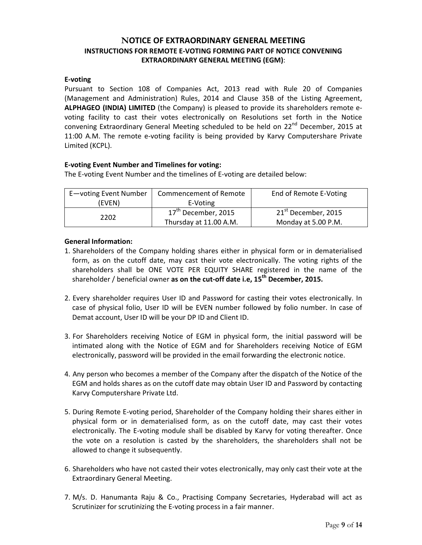## **NOTICE OF EXTRAORDINARY GENERAL MEETING INSTRUCTIONS FOR REMOTE E-VOTING FORMING PART OF NOTICE CONVENING EXTRAORDINARY GENERAL MEETING (EGM)**:

#### **E-voting**

Pursuant to Section 108 of Companies Act, 2013 read with Rule 20 of Companies (Management and Administration) Rules, 2014 and Clause 35B of the Listing Agreement, **ALPHAGEO (INDIA) LIMITED** (the Company) is pleased to provide its shareholders remote evoting facility to cast their votes electronically on Resolutions set forth in the Notice convening Extraordinary General Meeting scheduled to be held on  $22<sup>nd</sup>$  December, 2015 at 11:00 A.M. The remote e-voting facility is being provided by Karvy Computershare Private Limited (KCPL).

#### **E-voting Event Number and Timelines for voting:**

The E-voting Event Number and the timelines of E-voting are detailed below:

| E-voting Event Number | <b>Commencement of Remote</b>   | End of Remote E-Voting          |
|-----------------------|---------------------------------|---------------------------------|
| (EVEN)                | E-Voting                        |                                 |
| 2202                  | 17 <sup>th</sup> December, 2015 | 21 <sup>st</sup> December, 2015 |
|                       | Thursday at 11.00 A.M.          | Monday at 5.00 P.M.             |

#### **General Information:**

- 1. Shareholders of the Company holding shares either in physical form or in dematerialised form, as on the cutoff date, may cast their vote electronically. The voting rights of the shareholders shall be ONE VOTE PER EQUITY SHARE registered in the name of the shareholder / beneficial owner **as on the cut-off date i.e, 15th December, 2015.**
- 2. Every shareholder requires User ID and Password for casting their votes electronically. In case of physical folio, User ID will be EVEN number followed by folio number. In case of Demat account, User ID will be your DP ID and Client ID.
- 3. For Shareholders receiving Notice of EGM in physical form, the initial password will be intimated along with the Notice of EGM and for Shareholders receiving Notice of EGM electronically, password will be provided in the email forwarding the electronic notice.
- 4. Any person who becomes a member of the Company after the dispatch of the Notice of the EGM and holds shares as on the cutoff date may obtain User ID and Password by contacting Karvy Computershare Private Ltd.
- 5. During Remote E-voting period, Shareholder of the Company holding their shares either in physical form or in dematerialised form, as on the cutoff date, may cast their votes electronically. The E-voting module shall be disabled by Karvy for voting thereafter. Once the vote on a resolution is casted by the shareholders, the shareholders shall not be allowed to change it subsequently.
- 6. Shareholders who have not casted their votes electronically, may only cast their vote at the Extraordinary General Meeting.
- 7. M/s. D. Hanumanta Raju & Co., Practising Company Secretaries, Hyderabad will act as Scrutinizer for scrutinizing the E-voting process in a fair manner.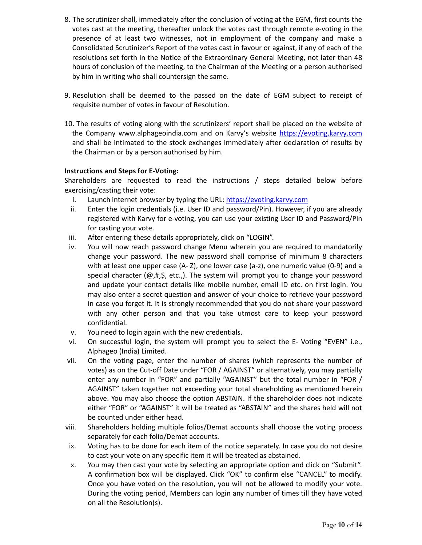- 8. The scrutinizer shall, immediately after the conclusion of voting at the EGM, first counts the votes cast at the meeting, thereafter unlock the votes cast through remote e-voting in the presence of at least two witnesses, not in employment of the company and make a Consolidated Scrutinizer's Report of the votes cast in favour or against, if any of each of the resolutions set forth in the Notice of the Extraordinary General Meeting, not later than 48 hours of conclusion of the meeting, to the Chairman of the Meeting or a person authorised by him in writing who shall countersign the same.
- 9. Resolution shall be deemed to the passed on the date of EGM subject to receipt of requisite number of votes in favour of Resolution.
- 10. The results of voting along with the scrutinizers' report shall be placed on the website of the Company www.alphageoindia.com and on Karvy's website https://evoting.karvy.com and shall be intimated to the stock exchanges immediately after declaration of results by the Chairman or by a person authorised by him.

#### **Instructions and Steps for E-Voting:**

Shareholders are requested to read the instructions / steps detailed below before exercising/casting their vote:

- i. Launch internet browser by typing the URL: https://evoting.karvy.com
- ii. Enter the login credentials (i.e. User ID and password/Pin). However, if you are already registered with Karvy for e-voting, you can use your existing User ID and Password/Pin for casting your vote.
- iii. After entering these details appropriately, click on "LOGIN".
- iv. You will now reach password change Menu wherein you are required to mandatorily change your password. The new password shall comprise of minimum 8 characters with at least one upper case (A- Z), one lower case (a-z), one numeric value (0-9) and a special character ( $\omega$ ,#,\$, etc.,). The system will prompt you to change your password and update your contact details like mobile number, email ID etc. on first login. You may also enter a secret question and answer of your choice to retrieve your password in case you forget it. It is strongly recommended that you do not share your password with any other person and that you take utmost care to keep your password confidential.
- v. You need to login again with the new credentials.
- vi. On successful login, the system will prompt you to select the E- Voting "EVEN" i.e., Alphageo (India) Limited.
- vii. On the voting page, enter the number of shares (which represents the number of votes) as on the Cut-off Date under "FOR / AGAINST" or alternatively, you may partially enter any number in "FOR" and partially "AGAINST" but the total number in "FOR / AGAINST" taken together not exceeding your total shareholding as mentioned herein above. You may also choose the option ABSTAIN. If the shareholder does not indicate either "FOR" or "AGAINST" it will be treated as "ABSTAIN" and the shares held will not be counted under either head.
- viii. Shareholders holding multiple folios/Demat accounts shall choose the voting process separately for each folio/Demat accounts.
- ix. Voting has to be done for each item of the notice separately. In case you do not desire to cast your vote on any specific item it will be treated as abstained.
- x. You may then cast your vote by selecting an appropriate option and click on "Submit". A confirmation box will be displayed. Click "OK" to confirm else "CANCEL" to modify. Once you have voted on the resolution, you will not be allowed to modify your vote. During the voting period, Members can login any number of times till they have voted on all the Resolution(s).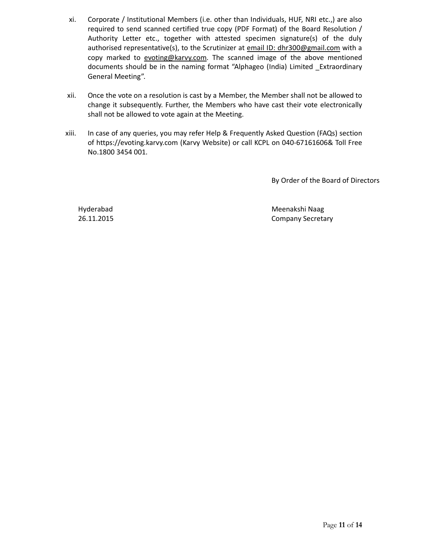- xi. Corporate / Institutional Members (i.e. other than Individuals, HUF, NRI etc.,) are also required to send scanned certified true copy (PDF Format) of the Board Resolution / Authority Letter etc., together with attested specimen signature(s) of the duly authorised representative(s), to the Scrutinizer at email ID: dhr300@gmail.com with a copy marked to evoting@karvy.com. The scanned image of the above mentioned documents should be in the naming format "Alphageo (India) Limited \_Extraordinary General Meeting".
- xii. Once the vote on a resolution is cast by a Member, the Member shall not be allowed to change it subsequently. Further, the Members who have cast their vote electronically shall not be allowed to vote again at the Meeting.
- xiii. In case of any queries, you may refer Help & Frequently Asked Question (FAQs) section of https://evoting.karvy.com (Karvy Website) or call KCPL on 040-67161606& Toll Free No.1800 3454 001.

By Order of the Board of Directors

Hyderabad 26.11.2015  Meenakshi Naag Company Secretary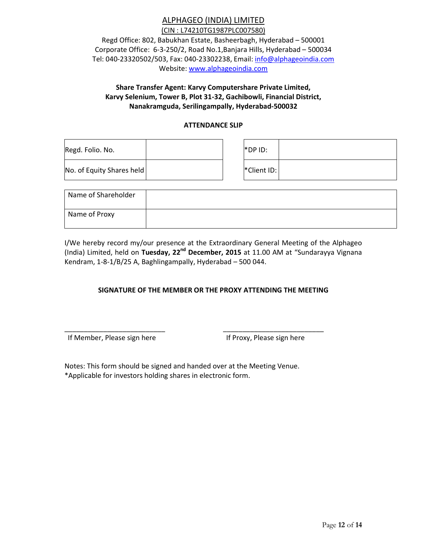# ALPHAGEO (INDIA) LIMITED

(CIN : L74210TG1987PLC007580) Regd Office: 802, Babukhan Estate, Basheerbagh, Hyderabad – 500001 Corporate Office: 6-3-250/2, Road No.1,Banjara Hills, Hyderabad – 500034 Tel: 040-23320502/503, Fax: 040-23302238, Email: info@alphageoindia.com Website: www.alphageoindia.com

## **Share Transfer Agent: Karvy Computershare Private Limited, Karvy Selenium, Tower B, Plot 31-32, Gachibowli, Financial District, Nanakramguda, Serilingampally, Hyderabad-500032**

#### **ATTENDANCE SLIP**

| Regd. Folio. No.          |  | $*$ DP ID:         |  |
|---------------------------|--|--------------------|--|
| No. of Equity Shares held |  | <b>*Client ID:</b> |  |

| Name of Shareholder |  |
|---------------------|--|
| Name of Proxy       |  |

I/We hereby record my/our presence at the Extraordinary General Meeting of the Alphageo (India) Limited, held on **Tuesday, 22nd December, 2015** at 11.00 AM at "Sundarayya Vignana Kendram, 1-8-1/B/25 A, Baghlingampally, Hyderabad – 500 044.

#### **SIGNATURE OF THE MEMBER OR THE PROXY ATTENDING THE MEETING**

If Member, Please sign here If Proxy, Please sign here

Notes: This form should be signed and handed over at the Meeting Venue. \*Applicable for investors holding shares in electronic form.

\_\_\_\_\_\_\_\_\_\_\_\_\_\_\_\_\_\_\_\_\_\_\_\_\_\_ \_\_\_\_\_\_\_\_\_\_\_\_\_\_\_\_\_\_\_\_\_\_\_\_\_\_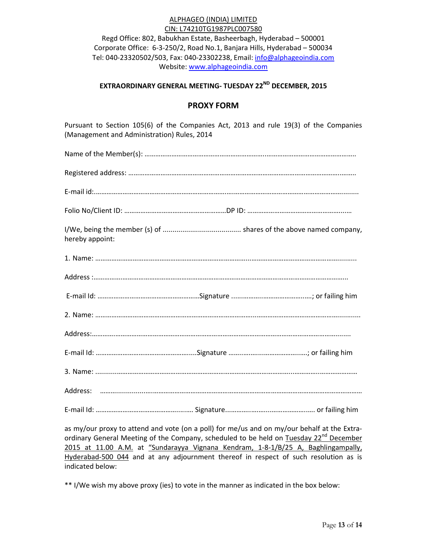#### ALPHAGEO (INDIA) LIMITED CIN: L74210TG1987PLC007580

Regd Office: 802, Babukhan Estate, Basheerbagh, Hyderabad – 500001 Corporate Office: 6-3-250/2, Road No.1, Banjara Hills, Hyderabad – 500034 Tel: 040-23320502/503, Fax: 040-23302238, Email: info@alphageoindia.com Website: www.alphageoindia.com

# **EXTRAORDINARY GENERAL MEETING- TUESDAY 22ND DECEMBER, 2015**

## **PROXY FORM**

Pursuant to Section 105(6) of the Companies Act, 2013 and rule 19(3) of the Companies (Management and Administration) Rules, 2014

| hereby appoint: |  |
|-----------------|--|
|                 |  |
|                 |  |
|                 |  |
|                 |  |
|                 |  |
|                 |  |
|                 |  |
|                 |  |
|                 |  |

as my/our proxy to attend and vote (on a poll) for me/us and on my/our behalf at the Extraordinary General Meeting of the Company, scheduled to be held on Tuesday 22<sup>nd</sup> December 2015 at 11.00 A.M. at "Sundarayya Vignana Kendram, 1-8-1/B/25 A, Baghlingampally, Hyderabad-500 044 and at any adjournment thereof in respect of such resolution as is indicated below:

\*\* I/We wish my above proxy (ies) to vote in the manner as indicated in the box below: